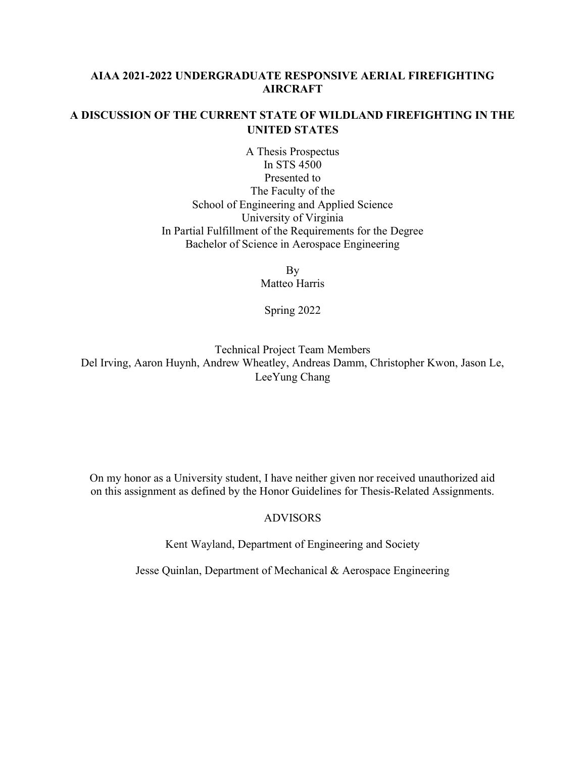# AIAA 2021-2022 UNDERGRADUATE RESPONSIVE AERIAL FIREFIGHTING AIRCRAFT

# A DISCUSSION OF THE CURRENT STATE OF WILDLAND FIREFIGHTING IN THE UNITED STATES

A Thesis Prospectus In STS 4500 Presented to The Faculty of the School of Engineering and Applied Science University of Virginia In Partial Fulfillment of the Requirements for the Degree Bachelor of Science in Aerospace Engineering

> By Matteo Harris

Spring 2022

Technical Project Team Members Del Irving, Aaron Huynh, Andrew Wheatley, Andreas Damm, Christopher Kwon, Jason Le, LeeYung Chang

On my honor as a University student, I have neither given nor received unauthorized aid on this assignment as defined by the Honor Guidelines for Thesis-Related Assignments.

### ADVISORS

Kent Wayland, Department of Engineering and Society

Jesse Quinlan, Department of Mechanical & Aerospace Engineering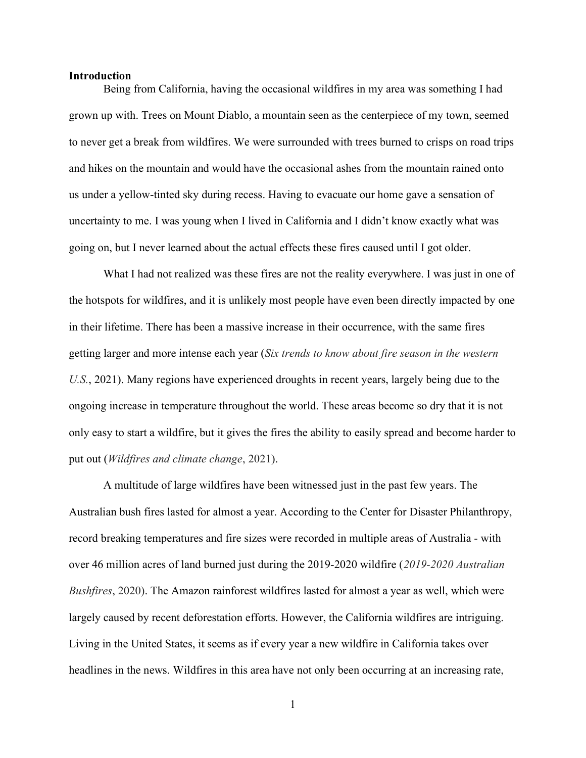#### **Introduction**

Being from California, having the occasional wildfires in my area was something I had grown up with. Trees on Mount Diablo, a mountain seen as the centerpiece of my town, seemed to never get a break from wildfires. We were surrounded with trees burned to crisps on road trips and hikes on the mountain and would have the occasional ashes from the mountain rained onto us under a yellow-tinted sky during recess. Having to evacuate our home gave a sensation of uncertainty to me. I was young when I lived in California and I didn't know exactly what was going on, but I never learned about the actual effects these fires caused until I got older.

What I had not realized was these fires are not the reality everywhere. I was just in one of the hotspots for wildfires, and it is unlikely most people have even been directly impacted by one in their lifetime. There has been a massive increase in their occurrence, with the same fires getting larger and more intense each year (Six trends to know about fire season in the western U.S., 2021). Many regions have experienced droughts in recent years, largely being due to the ongoing increase in temperature throughout the world. These areas become so dry that it is not only easy to start a wildfire, but it gives the fires the ability to easily spread and become harder to put out (Wildfires and climate change, 2021).

A multitude of large wildfires have been witnessed just in the past few years. The Australian bush fires lasted for almost a year. According to the Center for Disaster Philanthropy, record breaking temperatures and fire sizes were recorded in multiple areas of Australia - with over 46 million acres of land burned just during the 2019-2020 wildfire (2019-2020 Australian Bushfires, 2020). The Amazon rainforest wildfires lasted for almost a year as well, which were largely caused by recent deforestation efforts. However, the California wildfires are intriguing. Living in the United States, it seems as if every year a new wildfire in California takes over headlines in the news. Wildfires in this area have not only been occurring at an increasing rate,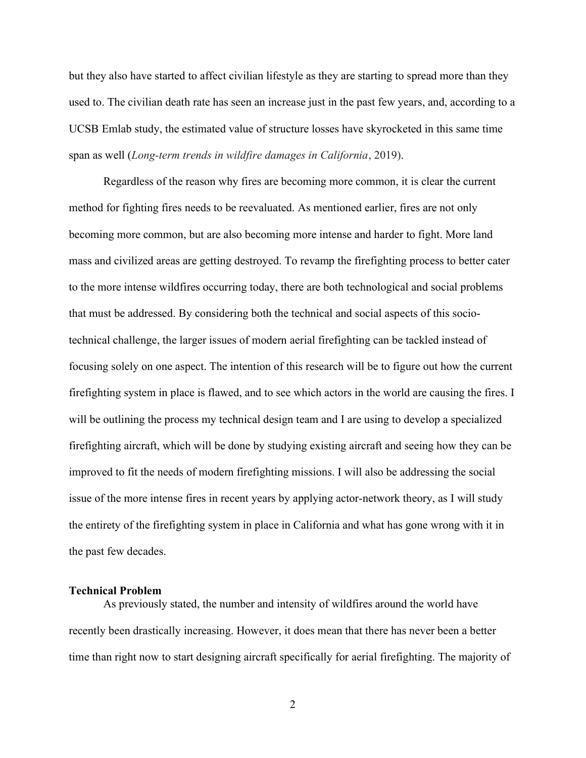but they also have started to affect civilian lifestyle as they are starting to spread more than they used to. The civilian death rate has seen an increase just in the past few years, and, according to a UCSB Emlab study, the estimated value of structure losses have skyrocketed in this same time span as well (Long-term trends in wildfire damages in California, 2019).

Regardless of the reason why fires are becoming more common, it is clear the current method for fighting fires needs to be reevaluated. As mentioned earlier, fires are not only becoming more common, but are also becoming more intense and harder to fight. More land mass and civilized areas are getting destroyed. To revamp the firefighting process to better cater to the more intense wildfires occurring today, there are both technological and social problems that must be addressed. By considering both the technical and social aspects of this sociotechnical challenge, the larger issues of modern aerial firefighting can be tackled instead of focusing solely on one aspect. The intention of this research will be to figure out how the current firefighting system in place is flawed, and to see which actors in the world are causing the fires. I will be outlining the process my technical design team and I are using to develop a specialized firefighting aircraft, which will be done by studying existing aircraft and seeing how they can be improved to fit the needs of modern firefighting missions. I will also be addressing the social issue of the more intense fires in recent years by applying actor-network theory, as I will study the entirety of the firefighting system in place in California and what has gone wrong with it in the past few decades.

### Technical Problem

As previously stated, the number and intensity of wildfires around the world have recently been drastically increasing. However, it does mean that there has never been a better time than right now to start designing aircraft specifically for aerial firefighting. The majority of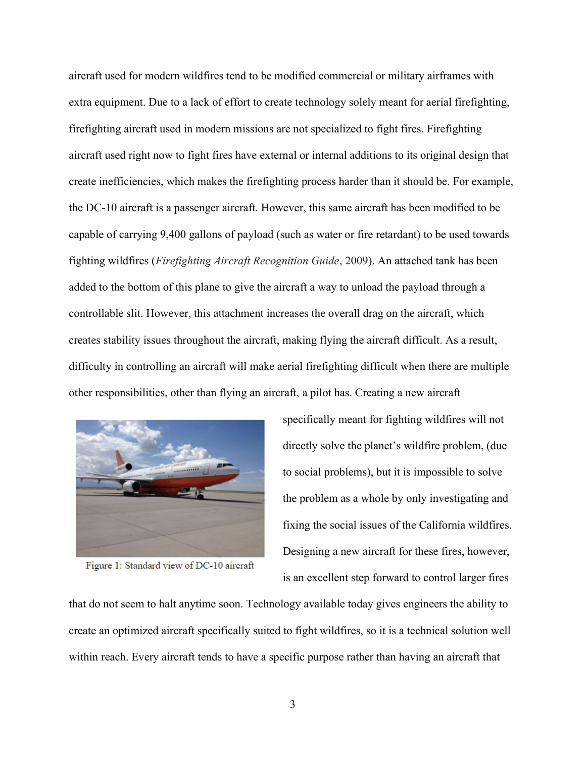aircraft used for modern wildfires tend to be modified commercial or military airframes with extra equipment. Due to a lack of effort to create technology solely meant for aerial firefighting, firefighting aircraft used in modern missions are not specialized to fight fires. Firefighting aircraft used right now to fight fires have external or internal additions to its original design that create inefficiencies, which makes the firefighting process harder than it should be. For example, the DC-10 aircraft is a passenger aircraft. However, this same aircraft has been modified to be capable of carrying 9,400 gallons of payload (such as water or fire retardant) to be used towards fighting wildfires (Firefighting Aircraft Recognition Guide, 2009). An attached tank has been added to the bottom of this plane to give the aircraft a way to unload the payload through a controllable slit. However, this attachment increases the overall drag on the aircraft, which creates stability issues throughout the aircraft, making flying the aircraft difficult. As a result, difficulty in controlling an aircraft will make aerial firefighting difficult when there are multiple other responsibilities, other than flying an aircraft, a pilot has. Creating a new aircraft



Figure 1: Standard view of DC-10 aircraft

specifically meant for fighting wildfires will not directly solve the planet's wildfire problem, (due to social problems), but it is impossible to solve the problem as a whole by only investigating and fixing the social issues of the California wildfires. Designing a new aircraft for these fires, however, is an excellent step forward to control larger fires

that do not seem to halt anytime soon. Technology available today gives engineers the ability to create an optimized aircraft specifically suited to fight wildfires, so it is a technical solution well within reach. Every aircraft tends to have a specific purpose rather than having an aircraft that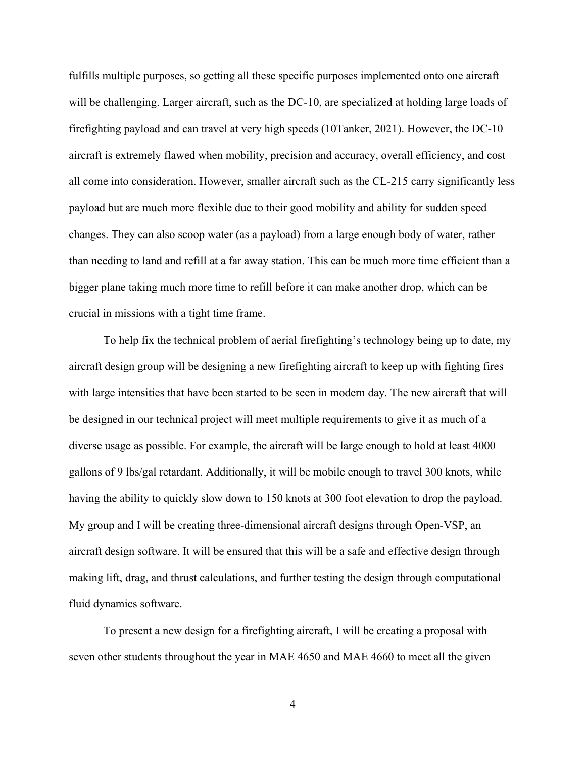fulfills multiple purposes, so getting all these specific purposes implemented onto one aircraft will be challenging. Larger aircraft, such as the DC-10, are specialized at holding large loads of firefighting payload and can travel at very high speeds (10Tanker, 2021). However, the DC-10 aircraft is extremely flawed when mobility, precision and accuracy, overall efficiency, and cost all come into consideration. However, smaller aircraft such as the CL-215 carry significantly less payload but are much more flexible due to their good mobility and ability for sudden speed changes. They can also scoop water (as a payload) from a large enough body of water, rather than needing to land and refill at a far away station. This can be much more time efficient than a bigger plane taking much more time to refill before it can make another drop, which can be crucial in missions with a tight time frame.

To help fix the technical problem of aerial firefighting's technology being up to date, my aircraft design group will be designing a new firefighting aircraft to keep up with fighting fires with large intensities that have been started to be seen in modern day. The new aircraft that will be designed in our technical project will meet multiple requirements to give it as much of a diverse usage as possible. For example, the aircraft will be large enough to hold at least 4000 gallons of 9 lbs/gal retardant. Additionally, it will be mobile enough to travel 300 knots, while having the ability to quickly slow down to 150 knots at 300 foot elevation to drop the payload. My group and I will be creating three-dimensional aircraft designs through Open-VSP, an aircraft design software. It will be ensured that this will be a safe and effective design through making lift, drag, and thrust calculations, and further testing the design through computational fluid dynamics software.

To present a new design for a firefighting aircraft, I will be creating a proposal with seven other students throughout the year in MAE 4650 and MAE 4660 to meet all the given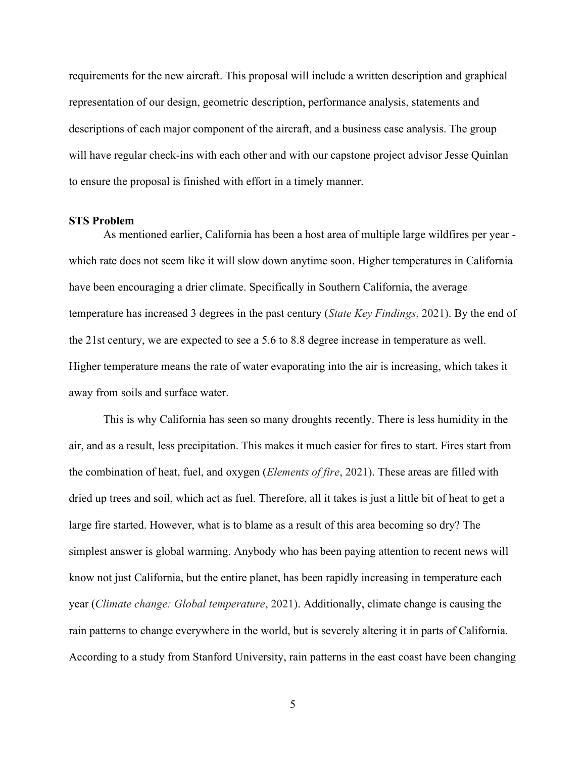requirements for the new aircraft. This proposal will include a written description and graphical representation of our design, geometric description, performance analysis, statements and descriptions of each major component of the aircraft, and a business case analysis. The group will have regular check-ins with each other and with our capstone project advisor Jesse Quinlan to ensure the proposal is finished with effort in a timely manner.

### STS Problem

As mentioned earlier, California has been a host area of multiple large wildfires per year which rate does not seem like it will slow down anytime soon. Higher temperatures in California have been encouraging a drier climate. Specifically in Southern California, the average temperature has increased 3 degrees in the past century (State Key Findings, 2021). By the end of the 21st century, we are expected to see a 5.6 to 8.8 degree increase in temperature as well. Higher temperature means the rate of water evaporating into the air is increasing, which takes it away from soils and surface water.

This is why California has seen so many droughts recently. There is less humidity in the air, and as a result, less precipitation. This makes it much easier for fires to start. Fires start from the combination of heat, fuel, and oxygen (Elements of fire, 2021). These areas are filled with dried up trees and soil, which act as fuel. Therefore, all it takes is just a little bit of heat to get a large fire started. However, what is to blame as a result of this area becoming so dry? The simplest answer is global warming. Anybody who has been paying attention to recent news will know not just California, but the entire planet, has been rapidly increasing in temperature each year (Climate change: Global temperature, 2021). Additionally, climate change is causing the rain patterns to change everywhere in the world, but is severely altering it in parts of California. According to a study from Stanford University, rain patterns in the east coast have been changing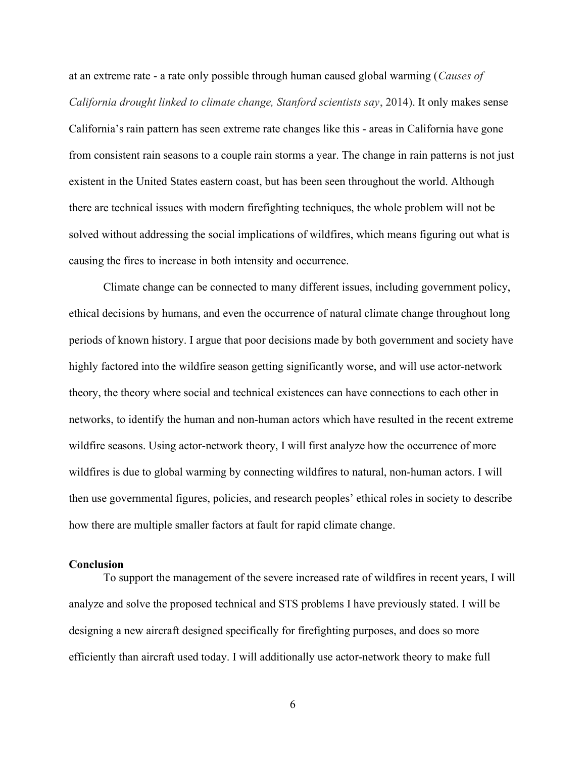at an extreme rate - a rate only possible through human caused global warming (Causes of California drought linked to climate change, Stanford scientists say, 2014). It only makes sense California's rain pattern has seen extreme rate changes like this - areas in California have gone from consistent rain seasons to a couple rain storms a year. The change in rain patterns is not just existent in the United States eastern coast, but has been seen throughout the world. Although there are technical issues with modern firefighting techniques, the whole problem will not be solved without addressing the social implications of wildfires, which means figuring out what is causing the fires to increase in both intensity and occurrence.

Climate change can be connected to many different issues, including government policy, ethical decisions by humans, and even the occurrence of natural climate change throughout long periods of known history. I argue that poor decisions made by both government and society have highly factored into the wildfire season getting significantly worse, and will use actor-network theory, the theory where social and technical existences can have connections to each other in networks, to identify the human and non-human actors which have resulted in the recent extreme wildfire seasons. Using actor-network theory, I will first analyze how the occurrence of more wildfires is due to global warming by connecting wildfires to natural, non-human actors. I will then use governmental figures, policies, and research peoples' ethical roles in society to describe how there are multiple smaller factors at fault for rapid climate change.

### **Conclusion**

To support the management of the severe increased rate of wildfires in recent years, I will analyze and solve the proposed technical and STS problems I have previously stated. I will be designing a new aircraft designed specifically for firefighting purposes, and does so more efficiently than aircraft used today. I will additionally use actor-network theory to make full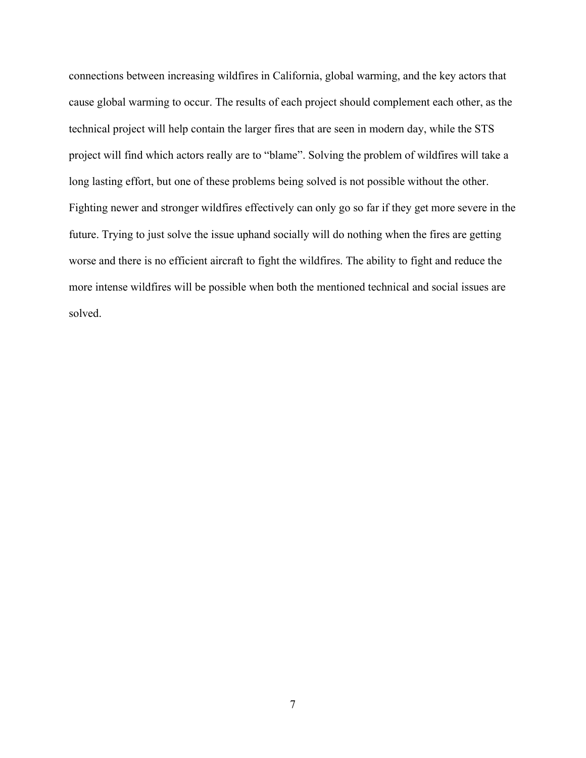connections between increasing wildfires in California, global warming, and the key actors that cause global warming to occur. The results of each project should complement each other, as the technical project will help contain the larger fires that are seen in modern day, while the STS project will find which actors really are to "blame". Solving the problem of wildfires will take a long lasting effort, but one of these problems being solved is not possible without the other. Fighting newer and stronger wildfires effectively can only go so far if they get more severe in the future. Trying to just solve the issue uphand socially will do nothing when the fires are getting worse and there is no efficient aircraft to fight the wildfires. The ability to fight and reduce the more intense wildfires will be possible when both the mentioned technical and social issues are solved.